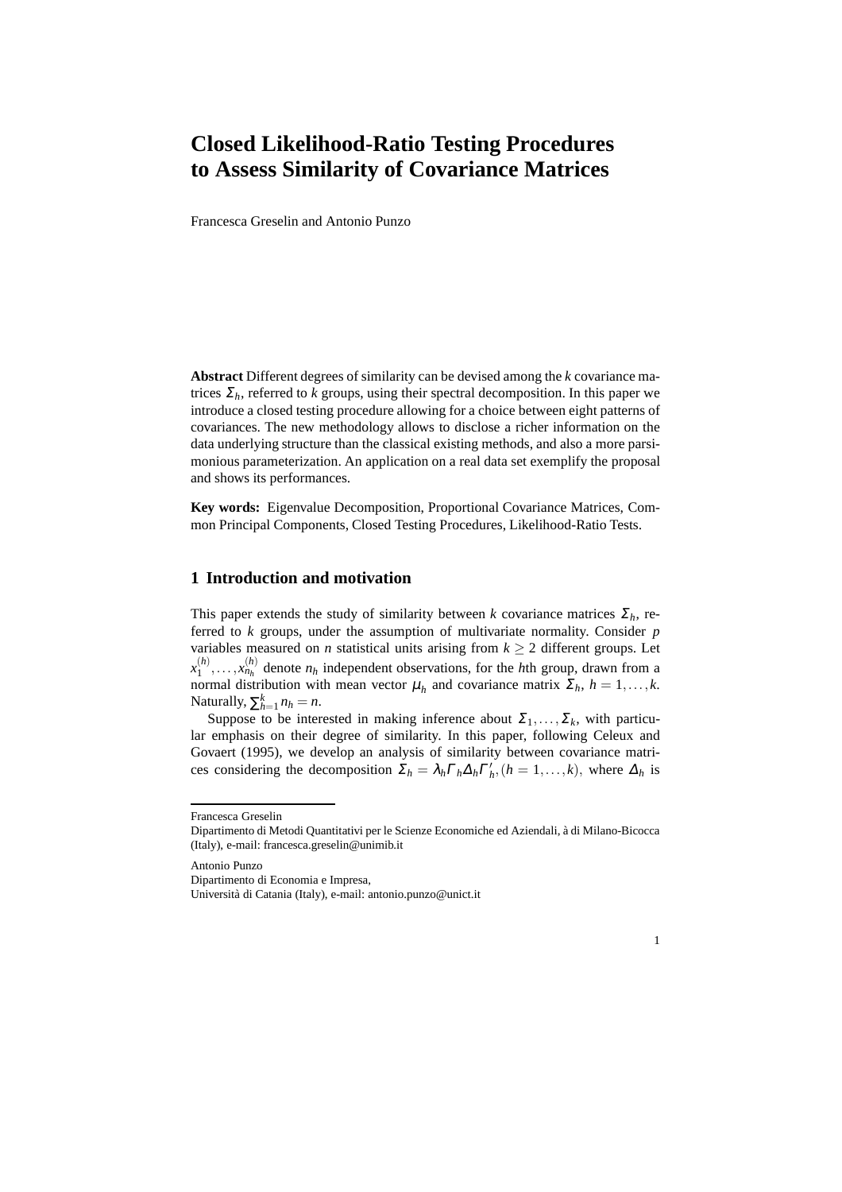## **Closed Likelihood-Ratio Testing Procedures to Assess Similarity of Covariance Matrices**

Francesca Greselin and Antonio Punzo

**Abstract** Different degrees of similarity can be devised among the *k* covariance matrices  $\Sigma_h$ , referred to *k* groups, using their spectral decomposition. In this paper we introduce a closed testing procedure allowing for a choice between eight patterns of covariances. The new methodology allows to disclose a richer information on the data underlying structure than the classical existing methods, and also a more parsimonious parameterization. An application on a real data set exemplify the proposal and shows its performances.

**Key words:** Eigenvalue Decomposition, Proportional Covariance Matrices, Common Principal Components, Closed Testing Procedures, Likelihood-Ratio Tests.

## **1 Introduction and motivation**

This paper extends the study of similarity between *k* covariance matrices  $\Sigma_h$ , referred to *k* groups, under the assumption of multivariate normality. Consider *p* variables measured on *n* statistical units arising from  $k \geq 2$  different groups. Let  $x_1^{(h)}$  $\binom{h}{1}, \ldots, x_{n_h}^{(h)}$  denote  $n_h$  independent observations, for the *h*th group, drawn from a normal distribution with mean vector  $\mu_h$  and covariance matrix  $\Sigma_h$ ,  $h = 1, \ldots, k$ . Naturally,  $\sum_{h=1}^{k} n_h = n$ .

Suppose to be interested in making inference about  $\Sigma_1, \ldots, \Sigma_k$ , with particular emphasis on their degree of similarity. In this paper, following Celeux and Govaert (1995), we develop an analysis of similarity between covariance matrices considering the decomposition  $\Sigma_h = \lambda_h \Gamma_h \Delta_h \Gamma'_h$ ,  $(h = 1, ..., k)$ , where  $\Delta_h$  is

Antonio Punzo

Dipartimento di Economia e Impresa,



Francesca Greselin

Dipartimento di Metodi Quantitativi per le Scienze Economiche ed Aziendali, à di Milano-Bicocca (Italy), e-mail: francesca.greselin@unimib.it

Universit`a di Catania (Italy), e-mail: antonio.punzo@unict.it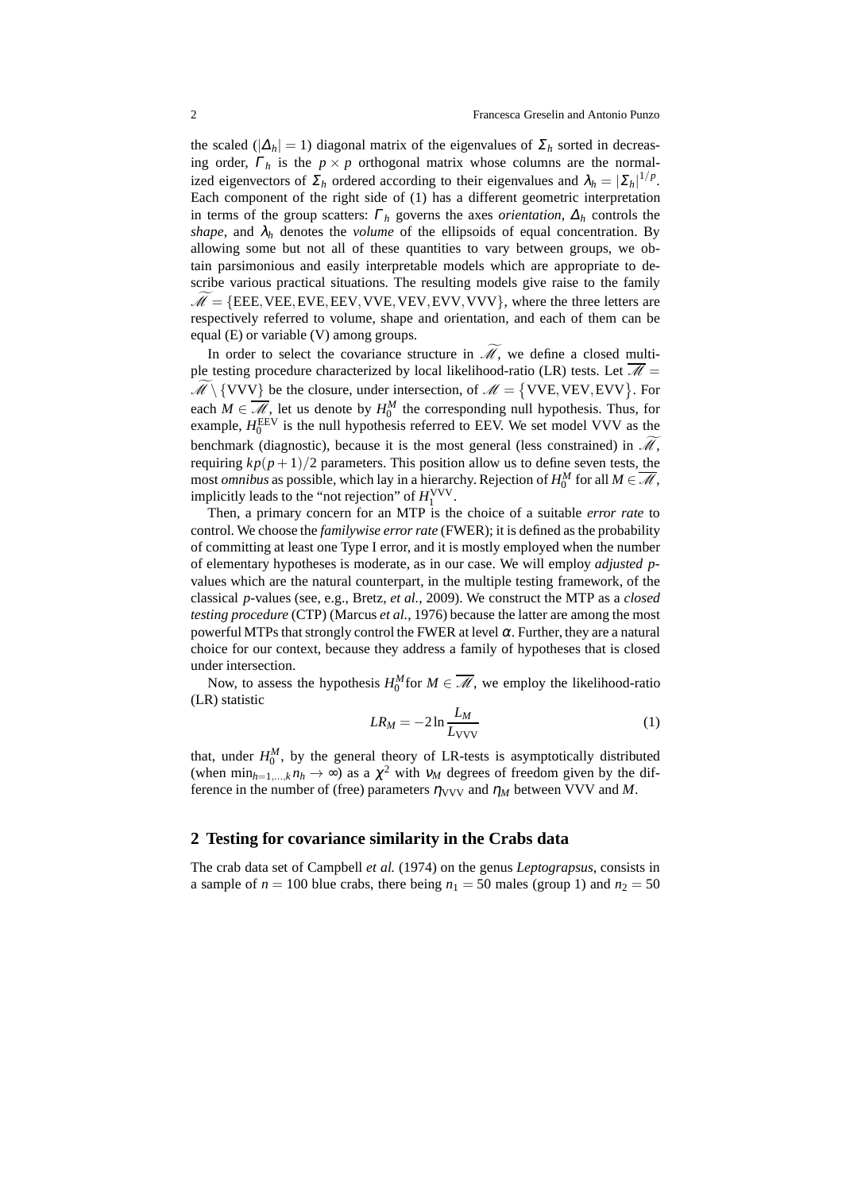the scaled ( $|\Delta_h| = 1$ ) diagonal matrix of the eigenvalues of  $\Sigma_h$  sorted in decreasing order,  $\Gamma_h$  is the  $p \times p$  orthogonal matrix whose columns are the normalized eigenvectors of  $\Sigma_h$  ordered according to their eigenvalues and  $\lambda_h = |\Sigma_h|^{1/p}$ . Each component of the right side of (1) has a different geometric interpretation in terms of the group scatters:  $\Gamma_h$  governs the axes *orientation*,  $\Delta_h$  controls the *shape*, and  $\lambda_h$  denotes the *volume* of the ellipsoids of equal concentration. By allowing some but not all of these quantities to vary between groups, we obtain parsimonious and easily interpretable models which are appropriate to describe various practical situations. The resulting models give raise to the family  $M = {EEE, VEE, EVE, EEV, VVE, VEV, EVV, VVV},$  where the three letters are respectively referred to volume, shape and orientation, and each of them can be equal (E) or variable (V) among groups.

In order to select the covariance structure in  $\widetilde{\mathcal{M}}$ , we define a closed multiple testing procedure characterized by local likelihood-ratio (LR) tests. Let  $\overline{\mathscr{M}}$  =  $\widetilde{\mathcal{M}}\setminus{\rm \{VVV\}}$  be the closure, under intersection, of  $\mathcal{M} = {\rm \{VVE,VEV, EVV\}}$ . For each  $M \in \overline{\mathcal{M}}$ , let us denote by  $H_0^M$  the corresponding null hypothesis. Thus, for example,  $H_0^{\text{EEV}}$  is the null hypothesis referred to EEV. We set model VVV as the benchmark (diagnostic), because it is the most general (less constrained) in  $\mathcal{M}$ . requiring  $kp(p+1)/2$  parameters. This position allow us to define seven tests, the most *omnibus* as possible, which lay in a hierarchy. Rejection of  $H_0^M$  for all  $M \in \overline{\mathcal{M}}$ , implicitly leads to the "not rejection" of  $H_1^{\text{VVV}}$ .

Then, a primary concern for an MTP is the choice of a suitable *error rate* to control. We choose the *familywise error rate* (FWER); it is defined as the probability of committing at least one Type I error, and it is mostly employed when the number of elementary hypotheses is moderate, as in our case. We will employ *adjusted p*values which are the natural counterpart, in the multiple testing framework, of the classical *p*-values (see, e.g., Bretz, *et al.*, 2009). We construct the MTP as a *closed testing procedure* (CTP) (Marcus *et al.*, 1976) because the latter are among the most powerful MTPs that strongly control the FWER at level  $\alpha$ . Further, they are a natural choice for our context, because they address a family of hypotheses that is closed under intersection.

Now, to assess the hypothesis  $H_0^M$  for  $M \in \overline{\mathcal{M}}$ , we employ the likelihood-ratio (LR) statistic

$$
LR_M = -2\ln\frac{L_M}{L_{\text{VVV}}} \tag{1}
$$

that, under  $H_0^M$ , by the general theory of LR-tests is asymptotically distributed (when  $\min_{h=1,\dots,k} n_h \to \infty$ ) as a  $\chi^2$  with  $v_M$  degrees of freedom given by the difference in the number of (free) parameters  $\eta_{VVV}$  and  $\eta_M$  between VVV and M.

## **2 Testing for covariance similarity in the Crabs data**

The crab data set of Campbell *et al.* (1974) on the genus *Leptograpsus*, consists in a sample of  $n = 100$  blue crabs, there being  $n_1 = 50$  males (group 1) and  $n_2 = 50$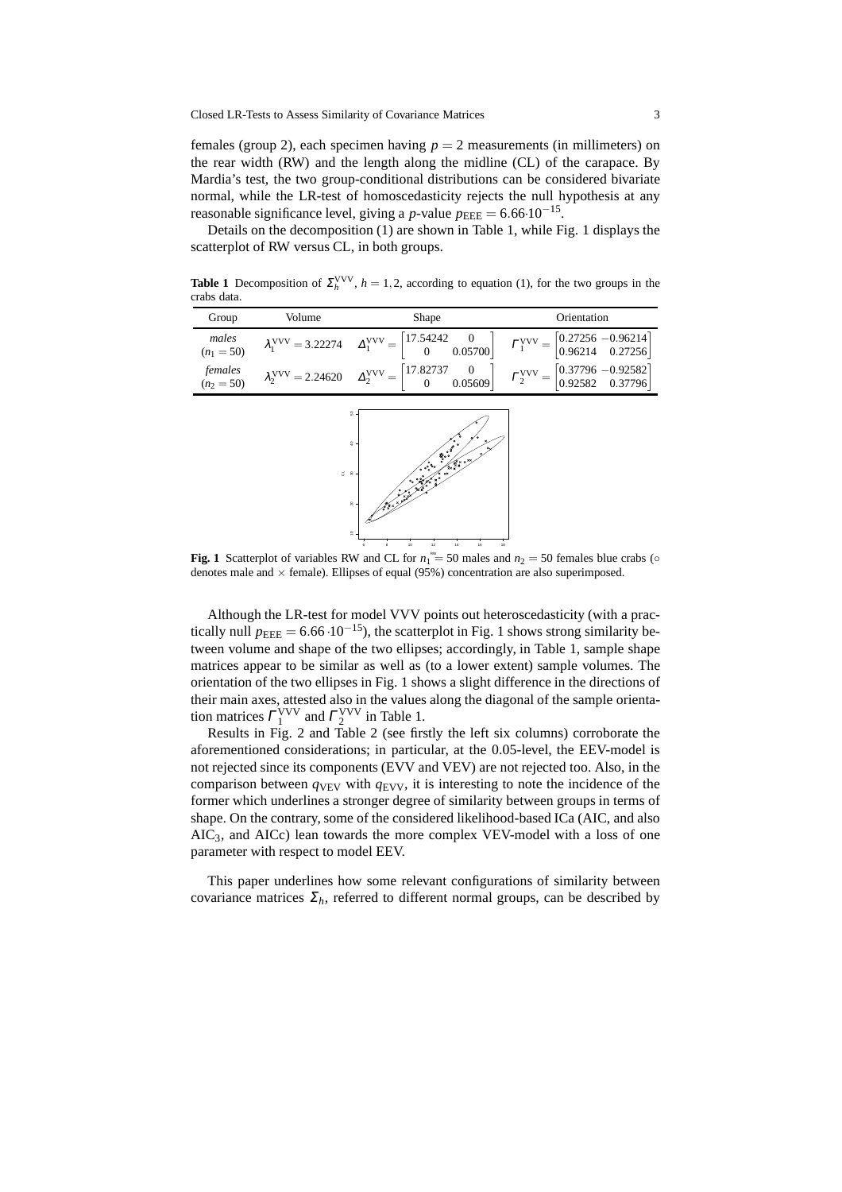females (group 2), each specimen having  $p = 2$  measurements (in millimeters) on the rear width (RW) and the length along the midline (CL) of the carapace. By Mardia's test, the two group-conditional distributions can be considered bivariate normal, while the LR-test of homoscedasticity rejects the null hypothesis at any reasonable significance level, giving a *p*-value  $p_{\text{EEE}} = 6.66 \cdot 10^{-15}$ .

Details on the decomposition (1) are shown in Table 1, while Fig. 1 displays the scatterplot of RW versus CL, in both groups.

**Table 1** Decomposition of  $\Sigma_h^{\text{VVV}}$ ,  $h = 1, 2$ , according to equation (1), for the two groups in the crabs data.

| Group                   | Volume | <b>Shape</b>                                                                                                                                                                                                                   | Orientation                                                                                     |  |  |
|-------------------------|--------|--------------------------------------------------------------------------------------------------------------------------------------------------------------------------------------------------------------------------------|-------------------------------------------------------------------------------------------------|--|--|
| males<br>$(n_1 = 50)$   |        | $\lambda_1^{\text{VVV}} = 3.22274 \quad \Delta_1^{\text{VVV}} = \begin{bmatrix} 17.54242 & 0 \\ 0 & 0.05700 \end{bmatrix}$                                                                                                     | $\Gamma_1^{\text{VVV}} = \begin{bmatrix} 0.27256 & -0.96214 \\ 0.96214 & 0.27256 \end{bmatrix}$ |  |  |
| females<br>$(n_2 = 50)$ |        | $\lambda_2^{\text{VVV}} = 2.24620 \quad \Delta_2^{\text{VVV}} = \begin{bmatrix} 17.82737 & 0 \\ 0 & 0.05609 \end{bmatrix} \quad \Gamma_2^{\text{VVV}} = \begin{bmatrix} 0.37796 & -0.92582 \\ 0.92582 & 0.37796 \end{bmatrix}$ |                                                                                                 |  |  |



**Fig. 1** Scatterplot of variables RW and CL for  $n_1^{\text{max}} = 50$  males and  $n_2 = 50$  females blue crabs ( $\circ$ denotes male and  $\times$  female). Ellipses of equal (95%) concentration are also superimposed.

Although the LR-test for model VVV points out heteroscedasticity (with a practically null  $p_{\text{EEE}} = 6.66 \cdot 10^{-15}$ , the scatterplot in Fig. 1 shows strong similarity between volume and shape of the two ellipses; accordingly, in Table 1, sample shape matrices appear to be similar as well as (to a lower extent) sample volumes. The orientation of the two ellipses in Fig. 1 shows a slight difference in the directions of their main axes, attested also in the values along the diagonal of the sample orientation matrices  $\Gamma_1^{\text{VVV}}$  and  $\Gamma_2^{\text{VVV}}$  in Table 1.

Results in Fig. 2 and Table 2 (see firstly the left six columns) corroborate the aforementioned considerations; in particular, at the 0.05-level, the EEV-model is not rejected since its components (EVV and VEV) are not rejected too. Also, in the comparison between  $q_{VEV}$  with  $q_{EVV}$ , it is interesting to note the incidence of the former which underlines a stronger degree of similarity between groups in terms of shape. On the contrary, some of the considered likelihood-based ICa (AIC, and also  $AIC<sub>3</sub>$ , and  $AICc$ ) lean towards the more complex VEV-model with a loss of one parameter with respect to model EEV.

This paper underlines how some relevant configurations of similarity between covariance matrices  $\Sigma_h$ , referred to different normal groups, can be described by